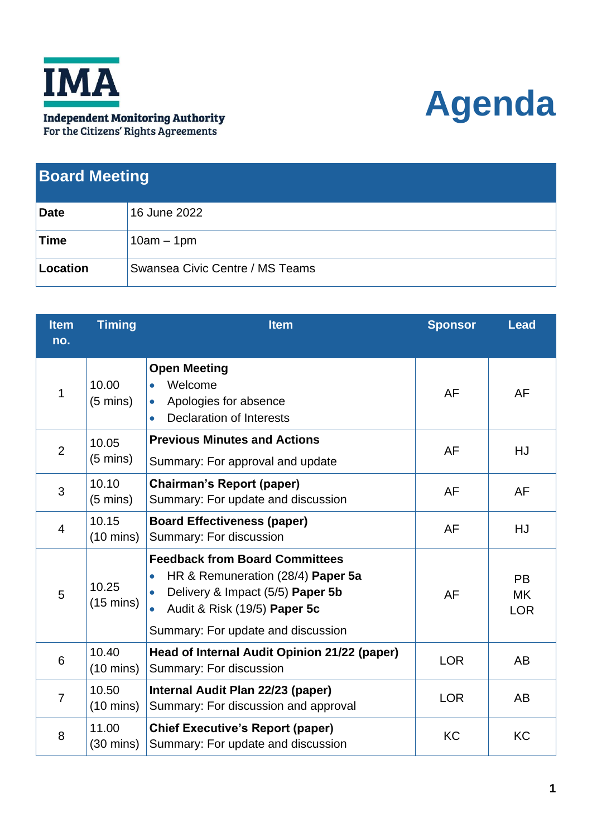

## **Agenda**

| <b>Board Meeting</b> |                                 |  |
|----------------------|---------------------------------|--|
| <b>Date</b>          | 16 June 2022                    |  |
| Time                 | $10am - 1pm$                    |  |
| Location             | Swansea Civic Centre / MS Teams |  |

| <b>Item</b><br>no. | <b>Timing</b>                | <b>Item</b>                                                                                                                                                                                                                 | <b>Sponsor</b> | <b>Lead</b>                          |
|--------------------|------------------------------|-----------------------------------------------------------------------------------------------------------------------------------------------------------------------------------------------------------------------------|----------------|--------------------------------------|
| 1                  | 10.00<br>$(5 \text{ mins})$  | <b>Open Meeting</b><br>Welcome<br>$\bullet$<br>Apologies for absence<br>$\bullet$<br><b>Declaration of Interests</b><br>$\bullet$                                                                                           | AF             | AF                                   |
| $\overline{2}$     | 10.05<br>$(5 \text{ mins})$  | <b>Previous Minutes and Actions</b><br>Summary: For approval and update                                                                                                                                                     | AF             | HJ                                   |
| 3                  | 10.10<br>$(5 \text{ mins})$  | <b>Chairman's Report (paper)</b><br>Summary: For update and discussion                                                                                                                                                      | <b>AF</b>      | <b>AF</b>                            |
| $\overline{4}$     | 10.15<br>$(10 \text{ mins})$ | <b>Board Effectiveness (paper)</b><br>Summary: For discussion                                                                                                                                                               | <b>AF</b>      | HJ                                   |
| 5                  | 10.25<br>$(15 \text{ mins})$ | <b>Feedback from Board Committees</b><br>HR & Remuneration (28/4) Paper 5a<br>$\bullet$<br>Delivery & Impact (5/5) Paper 5b<br>$\bullet$<br>Audit & Risk (19/5) Paper 5c<br>$\bullet$<br>Summary: For update and discussion | AF             | <b>PB</b><br><b>MK</b><br><b>LOR</b> |
| 6                  | 10.40<br>$(10 \text{ mins})$ | Head of Internal Audit Opinion 21/22 (paper)<br>Summary: For discussion                                                                                                                                                     | <b>LOR</b>     | <b>AB</b>                            |
| $\overline{7}$     | 10.50<br>$(10 \text{ mins})$ | Internal Audit Plan 22/23 (paper)<br>Summary: For discussion and approval                                                                                                                                                   | <b>LOR</b>     | <b>AB</b>                            |
| 8                  | 11.00<br>$(30 \text{ mins})$ | <b>Chief Executive's Report (paper)</b><br>Summary: For update and discussion                                                                                                                                               | <b>KC</b>      | <b>KC</b>                            |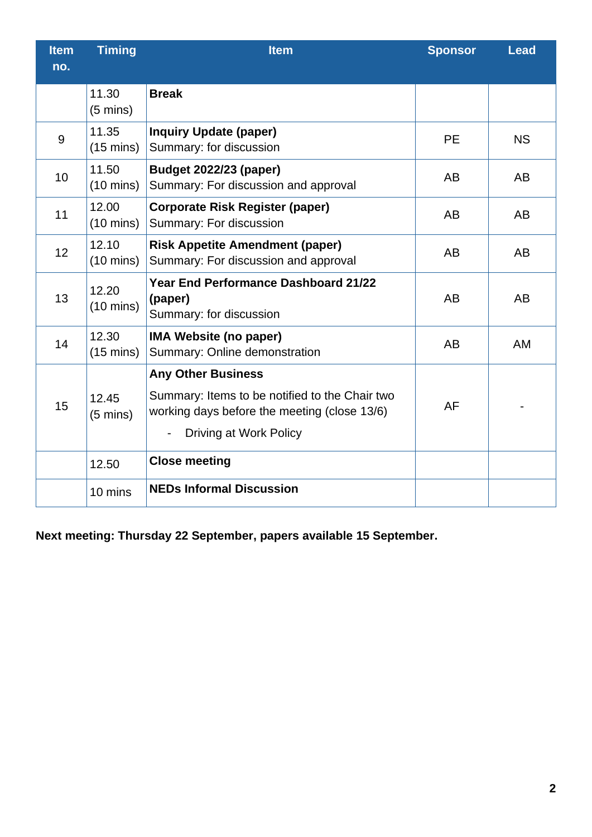| <b>Item</b><br>no. | <b>Timing</b>                | <b>Item</b>                                                                                                                                                  | <b>Sponsor</b> | <b>Lead</b> |
|--------------------|------------------------------|--------------------------------------------------------------------------------------------------------------------------------------------------------------|----------------|-------------|
|                    | 11.30<br>$(5 \text{ mins})$  | <b>Break</b>                                                                                                                                                 |                |             |
| 9                  | 11.35<br>$(15 \text{ mins})$ | <b>Inquiry Update (paper)</b><br>Summary: for discussion                                                                                                     | <b>PE</b>      | <b>NS</b>   |
| 10                 | 11.50<br>$(10 \text{ mins})$ | <b>Budget 2022/23 (paper)</b><br>Summary: For discussion and approval                                                                                        | <b>AB</b>      | <b>AB</b>   |
| 11                 | 12.00<br>$(10 \text{ mins})$ | <b>Corporate Risk Register (paper)</b><br>Summary: For discussion                                                                                            | AB             | <b>AB</b>   |
| 12                 | 12.10<br>$(10 \text{ mins})$ | <b>Risk Appetite Amendment (paper)</b><br>Summary: For discussion and approval                                                                               | <b>AB</b>      | AB          |
| 13                 | 12.20<br>$(10 \text{ mins})$ | <b>Year End Performance Dashboard 21/22</b><br>(paper)<br>Summary: for discussion                                                                            | AB             | AB          |
| 14                 | 12.30<br>$(15 \text{ mins})$ | <b>IMA Website (no paper)</b><br>Summary: Online demonstration                                                                                               | <b>AB</b>      | AM          |
| 15                 | 12.45<br>$(5 \text{ mins})$  | <b>Any Other Business</b><br>Summary: Items to be notified to the Chair two<br>working days before the meeting (close 13/6)<br><b>Driving at Work Policy</b> | <b>AF</b>      |             |
|                    | 12.50                        | <b>Close meeting</b>                                                                                                                                         |                |             |
|                    | 10 mins                      | <b>NEDs Informal Discussion</b>                                                                                                                              |                |             |

**Next meeting: Thursday 22 September, papers available 15 September.**